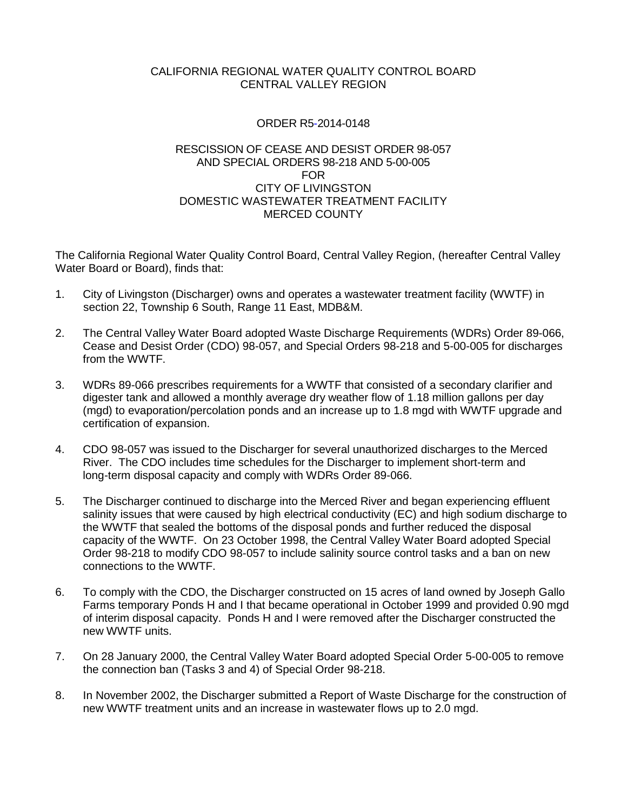## CALIFORNIA REGIONAL WATER QUALITY CONTROL BOARD CENTRAL VALLEY REGION

## ORDER R5-2014-0148

## RESCISSION OF CEASE AND DESIST ORDER 98-057 AND SPECIAL ORDERS 98-218 AND 5-00-005 FOR CITY OF LIVINGSTON DOMESTIC WASTEWATER TREATMENT FACILITY MERCED COUNTY

The California Regional Water Quality Control Board, Central Valley Region, (hereafter Central Valley Water Board or Board), finds that:

- 1. City of Livingston (Discharger) owns and operates a wastewater treatment facility (WWTF) in section 22, Township 6 South, Range 11 East, MDB&M.
- 2. The Central Valley Water Board adopted Waste Discharge Requirements (WDRs) Order 89-066, Cease and Desist Order (CDO) 98-057, and Special Orders 98-218 and 5-00-005 for discharges from the WWTF.
- 3. WDRs 89-066 prescribes requirements for a WWTF that consisted of a secondary clarifier and digester tank and allowed a monthly average dry weather flow of 1.18 million gallons per day (mgd) to evaporation/percolation ponds and an increase up to 1.8 mgd with WWTF upgrade and certification of expansion.
- 4. CDO 98-057 was issued to the Discharger for several unauthorized discharges to the Merced River. The CDO includes time schedules for the Discharger to implement short-term and long-term disposal capacity and comply with WDRs Order 89-066.
- 5. The Discharger continued to discharge into the Merced River and began experiencing effluent salinity issues that were caused by high electrical conductivity (EC) and high sodium discharge to the WWTF that sealed the bottoms of the disposal ponds and further reduced the disposal capacity of the WWTF. On 23 October 1998, the Central Valley Water Board adopted Special Order 98-218 to modify CDO 98-057 to include salinity source control tasks and a ban on new connections to the WWTF.
- 6. To comply with the CDO, the Discharger constructed on 15 acres of land owned by Joseph Gallo Farms temporary Ponds H and I that became operational in October 1999 and provided 0.90 mgd of interim disposal capacity. Ponds H and I were removed after the Discharger constructed the new WWTF units.
- 7. On 28 January 2000, the Central Valley Water Board adopted Special Order 5-00-005 to remove the connection ban (Tasks 3 and 4) of Special Order 98-218.
- 8. In November 2002, the Discharger submitted a Report of Waste Discharge for the construction of new WWTF treatment units and an increase in wastewater flows up to 2.0 mgd.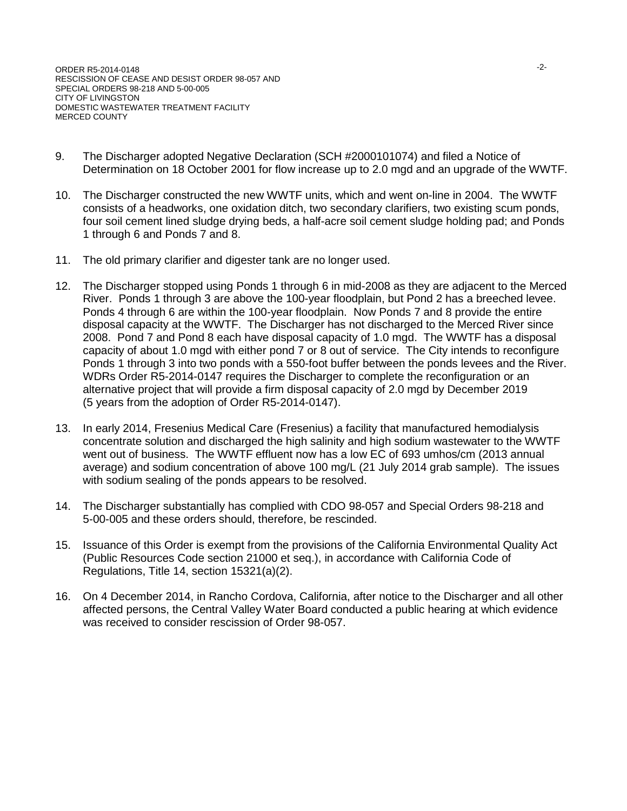- 9. The Discharger adopted Negative Declaration (SCH #2000101074) and filed a Notice of Determination on 18 October 2001 for flow increase up to 2.0 mgd and an upgrade of the WWTF.
- 10. The Discharger constructed the new WWTF units, which and went on-line in 2004. The WWTF consists of a headworks, one oxidation ditch, two secondary clarifiers, two existing scum ponds, four soil cement lined sludge drying beds, a half-acre soil cement sludge holding pad; and Ponds 1 through 6 and Ponds 7 and 8.
- 11. The old primary clarifier and digester tank are no longer used.
- 12. The Discharger stopped using Ponds 1 through 6 in mid-2008 as they are adjacent to the Merced River. Ponds 1 through 3 are above the 100-year floodplain, but Pond 2 has a breeched levee. Ponds 4 through 6 are within the 100-year floodplain. Now Ponds 7 and 8 provide the entire disposal capacity at the WWTF. The Discharger has not discharged to the Merced River since 2008. Pond 7 and Pond 8 each have disposal capacity of 1.0 mgd. The WWTF has a disposal capacity of about 1.0 mgd with either pond 7 or 8 out of service. The City intends to reconfigure Ponds 1 through 3 into two ponds with a 550-foot buffer between the ponds levees and the River. WDRs Order R5-2014-0147 requires the Discharger to complete the reconfiguration or an alternative project that will provide a firm disposal capacity of 2.0 mgd by December 2019 (5 years from the adoption of Order R5-2014-0147).
- 13. In early 2014, Fresenius Medical Care (Fresenius) a facility that manufactured hemodialysis concentrate solution and discharged the high salinity and high sodium wastewater to the WWTF went out of business. The WWTF effluent now has a low EC of 693 umhos/cm (2013 annual average) and sodium concentration of above 100 mg/L (21 July 2014 grab sample). The issues with sodium sealing of the ponds appears to be resolved.
- 14. The Discharger substantially has complied with CDO 98-057 and Special Orders 98-218 and 5-00-005 and these orders should, therefore, be rescinded.
- 15. Issuance of this Order is exempt from the provisions of the California Environmental Quality Act (Public Resources Code section 21000 et seq.), in accordance with California Code of Regulations, Title 14, section 15321(a)(2).
- 16. On 4 December 2014, in Rancho Cordova, California, after notice to the Discharger and all other affected persons, the Central Valley Water Board conducted a public hearing at which evidence was received to consider rescission of Order 98-057.